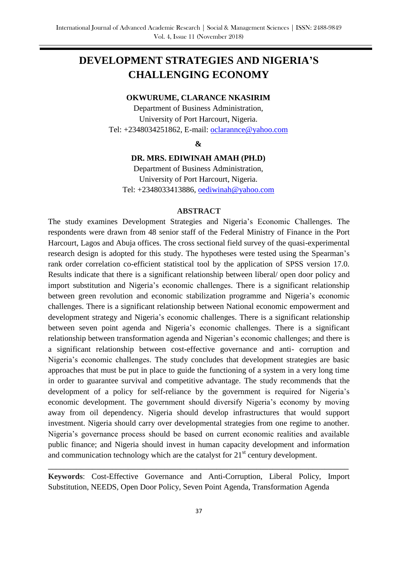# **DEVELOPMENT STRATEGIES AND NIGERIA'S CHALLENGING ECONOMY**

#### **OKWURUME, CLARANCE NKASIRIM**

Department of Business Administration, University of Port Harcourt, Nigeria. Tel: +2348034251862, E-mail: [oclarannce@yahoo.com](mailto:oclarannce@yahoo.com)

#### **&**

#### **DR. MRS. EDIWINAH AMAH (PH.D)**

Department of Business Administration, University of Port Harcourt, Nigeria. Tel: +2348033413886, [oediwinah@yahoo.com](mailto:oediwinah@yahoo.com)

#### **ABSTRACT**

The study examines Development Strategies and Nigeria's Economic Challenges. The respondents were drawn from 48 senior staff of the Federal Ministry of Finance in the Port Harcourt, Lagos and Abuja offices. The cross sectional field survey of the quasi-experimental research design is adopted for this study. The hypotheses were tested using the Spearman's rank order correlation co-efficient statistical tool by the application of SPSS version 17.0. Results indicate that there is a significant relationship between liberal/ open door policy and import substitution and Nigeria's economic challenges. There is a significant relationship between green revolution and economic stabilization programme and Nigeria's economic challenges. There is a significant relationship between National economic empowerment and development strategy and Nigeria's economic challenges. There is a significant relationship between seven point agenda and Nigeria's economic challenges. There is a significant relationship between transformation agenda and Nigerian's economic challenges; and there is a significant relationship between cost-effective governance and anti- corruption and Nigeria's economic challenges. The study concludes that development strategies are basic approaches that must be put in place to guide the functioning of a system in a very long time in order to guarantee survival and competitive advantage. The study recommends that the development of a policy for self-reliance by the government is required for Nigeria's economic development. The government should diversify Nigeria's economy by moving away from oil dependency. Nigeria should develop infrastructures that would support investment. Nigeria should carry over developmental strategies from one regime to another. Nigeria's governance process should be based on current economic realities and available public finance; and Nigeria should invest in human capacity development and information and communication technology which are the catalyst for  $21<sup>st</sup>$  century development.

**Keywords**: Cost-Effective Governance and Anti-Corruption, Liberal Policy, Import Substitution, NEEDS, Open Door Policy, Seven Point Agenda, Transformation Agenda

**\_\_\_\_\_\_\_\_\_\_\_\_\_\_\_\_\_\_\_\_\_\_\_\_\_\_\_\_\_\_\_\_\_\_\_\_\_\_\_\_\_\_\_\_\_\_\_\_\_\_\_\_\_\_\_\_\_\_\_\_\_\_\_\_\_\_\_\_\_\_\_\_\_\_\_**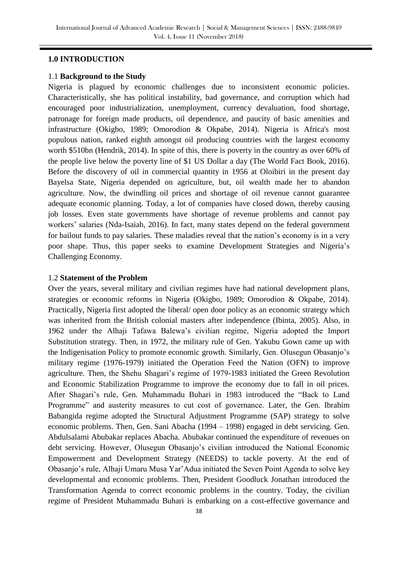#### **1.0 INTRODUCTION**

#### 1.1 **Background to the Study**

Nigeria is plagued by economic challenges due to inconsistent economic policies. Characteristically, she has political instability, bad governance, and corruption which had encouraged poor industrialization, unemployment, currency devaluation, food shortage, patronage for foreign made products, oil dependence, and paucity of basic amenities and infrastructure (Okigbo, 1989; Omorodion & Okpabe, 2014). Nigeria is Africa's most populous nation, ranked eighth amongst oil producing countries with the largest economy worth \$510bn (Hendrik, 2014). In spite of this, there is poverty in the country as over 60% of the people live below the poverty line of \$1 US Dollar a day (The World Fact Book, 2016). Before the discovery of oil in commercial quantity in 1956 at Oloibiri in the present day Bayelsa State, Nigeria depended on agriculture, but, oil wealth made her to abandon agriculture. Now, the dwindling oil prices and shortage of oil revenue cannot guarantee adequate economic planning. Today, a lot of companies have closed down, thereby causing job losses. Even state governments have shortage of revenue problems and cannot pay workers' salaries (Nda-Isaiah, 2016). In fact, many states depend on the federal government for bailout funds to pay salaries. These maladies reveal that the nation's economy is in a very poor shape. Thus, this paper seeks to examine Development Strategies and Nigeria's Challenging Economy.

#### 1.2 **Statement of the Problem**

Over the years, several military and civilian regimes have had national development plans, strategies or economic reforms in Nigeria (Okigbo, 1989; Omorodion & Okpabe, 2014). Practically, Nigeria first adopted the liberal/ open door policy as an economic strategy which was inherited from the British colonial masters after independence (Ibinta, 2005). Also, in 1962 under the Alhaji Tafawa Balewa's civilian regime, Nigeria adopted the Import Substitution strategy. Then, in 1972, the military rule of Gen. Yakubu Gown came up with the Indigenisation Policy to promote economic growth. Similarly, Gen. Olusegun Obasanjo's military regime (1976-1979) initiated the Operation Feed the Nation (OFN) to improve agriculture. Then, the Shehu Shagari's regime of 1979-1983 initiated the Green Revolution and Economic Stabilization Programme to improve the economy due to fall in oil prices. After Shagari's rule, Gen. Muhammadu Buhari in 1983 introduced the "Back to Land Programme" and austerity measures to cut cost of governance. Later, the Gen. Ibrahim Babangida regime adopted the Structural Adjustment Programme (SAP) strategy to solve economic problems. Then, Gen. Sani Abacha (1994 – 1998) engaged in debt servicing. Gen. Abdulsalami Abubakar replaces Abacha. Abubakar continued the expenditure of revenues on debt servicing. However, Olusegun Obasanjo's civilian introduced the National Economic Empowerment and Development Strategy (NEEDS) to tackle poverty. At the end of Obasanjo's rule, Alhaji Umaru Musa Yar'Adua initiated the Seven Point Agenda to solve key developmental and economic problems. Then, President Goodluck Jonathan introduced the Transformation Agenda to correct economic problems in the country. Today, the civilian regime of President Muhammadu Buhari is embarking on a cost-effective governance and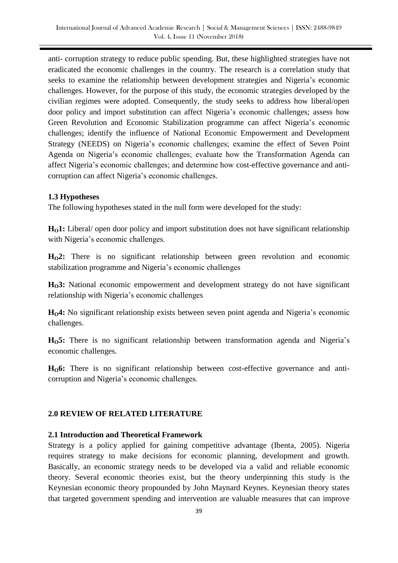anti- corruption strategy to reduce public spending. But, these highlighted strategies have not eradicated the economic challenges in the country. The research is a correlation study that seeks to examine the relationship between development strategies and Nigeria's economic challenges. However, for the purpose of this study, the economic strategies developed by the civilian regimes were adopted. Consequently, the study seeks to address how liberal/open door policy and import substitution can affect Nigeria's economic challenges; assess how Green Revolution and Economic Stabilization programme can affect Nigeria's economic challenges; identify the influence of National Economic Empowerment and Development Strategy (NEEDS) on Nigeria's economic challenges; examine the effect of Seven Point Agenda on Nigeria's economic challenges; evaluate how the Transformation Agenda can affect Nigeria's economic challenges; and determine how cost-effective governance and anticorruption can affect Nigeria's economic challenges.

#### **1.3 Hypotheses**

The following hypotheses stated in the null form were developed for the study:

**HO1:** Liberal/ open door policy and import substitution does not have significant relationship with Nigeria's economic challenges.

**HO2:** There is no significant relationship between green revolution and economic stabilization programme and Nigeria's economic challenges

**HO3:** National economic empowerment and development strategy do not have significant relationship with Nigeria's economic challenges

**HO4:** No significant relationship exists between seven point agenda and Nigeria's economic challenges.

**HO5:** There is no significant relationship between transformation agenda and Nigeria's economic challenges.

**HO6:** There is no significant relationship between cost-effective governance and anticorruption and Nigeria's economic challenges.

# **2.0 REVIEW OF RELATED LITERATURE**

#### **2.1 Introduction and Theoretical Framework**

Strategy is a policy applied for gaining competitive advantage (Ibenta, 2005). Nigeria requires strategy to make decisions for economic planning, development and growth. Basically, an economic strategy needs to be developed via a valid and reliable economic theory. Several economic theories exist, but the theory underpinning this study is the Keynesian economic theory propounded by John Maynard Keynes. Keynesian theory states that targeted government spending and intervention are valuable measures that can improve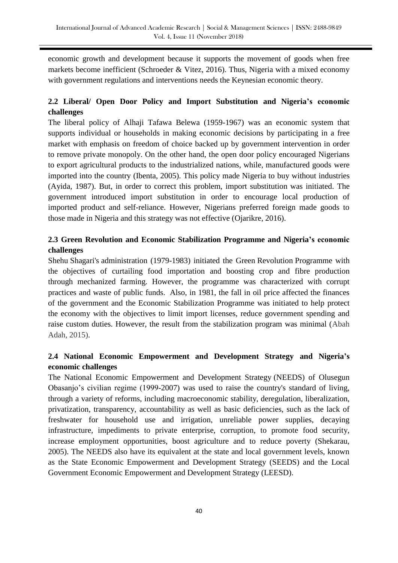economic growth and development because it supports the movement of goods when free markets become inefficient (Schroeder & Vitez, 2016). Thus, Nigeria with a mixed economy with government regulations and interventions needs the Keynesian economic theory.

# **2.2 Liberal/ Open Door Policy and Import Substitution and Nigeria's economic challenges**

The liberal policy of Alhaji Tafawa Belewa (1959-1967) was an economic system that supports individual or households in making economic decisions by participating in a free market with emphasis on freedom of choice backed up by government intervention in order to remove private monopoly. On the other hand, the open door policy encouraged Nigerians to export agricultural products to the industrialized nations, while, manufactured goods were imported into the country (Ibenta, 2005). This policy made Nigeria to buy without industries (Ayida, 1987). But, in order to correct this problem, import substitution was initiated. The government introduced import substitution in order to encourage local production of imported product and self-reliance. However, Nigerians preferred foreign made goods to those made in Nigeria and this strategy was not effective (Ojarikre, 2016).

# **2.3 Green Revolution and Economic Stabilization Programme and Nigeria's economic challenges**

Shehu Shagari's administration (1979-1983) initiated the Green Revolution Programme with the objectives of curtailing food importation and boosting crop and fibre production through mechanized farming. However, the programme was characterized with corrupt practices and waste of public funds. Also, in 1981, the fall in oil price affected the finances of the government and the Economic Stabilization Programme was initiated to help protect the economy with the objectives to limit import licenses, reduce government spending and raise custom duties. However, the result from the stabilization program was minimal (Abah Adah, 2015).

# **2.4 National Economic Empowerment and Development Strategy and Nigeria's economic challenges**

The National Economic Empowerment and Development Strategy (NEEDS) of Olusegun Obasanjo's civilian regime (1999-2007) was used to raise the country's standard of living, through a variety of reforms, including macroeconomic stability, deregulation, liberalization, privatization, transparency, accountability as well as basic deficiencies, such as the lack of freshwater for household use and irrigation, unreliable power supplies, decaying infrastructure, impediments to private enterprise, corruption, to promote food security, increase employment opportunities, boost agriculture and to reduce poverty (Shekarau, 2005). The NEEDS also have its equivalent at the state and local government levels, known as the State Economic Empowerment and Development Strategy (SEEDS) and the Local Government Economic Empowerment and Development Strategy (LEESD).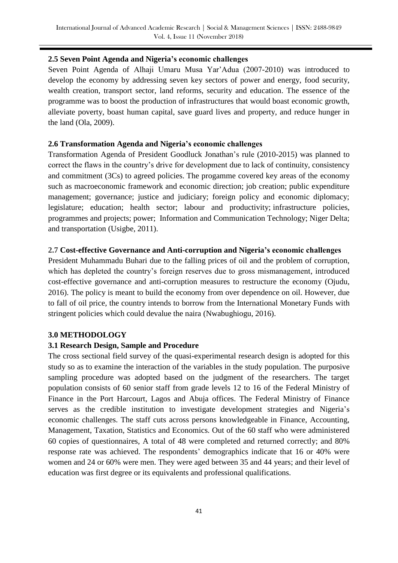# **2.5 Seven Point Agenda and Nigeria's economic challenges**

Seven Point Agenda of Alhaji Umaru Musa Yar'Adua (2007-2010) was introduced to develop the economy by addressing seven key sectors of power and energy, food security, wealth creation, transport sector, land reforms, security and education. The essence of the programme was to boost the production of infrastructures that would boast economic growth, alleviate poverty, boast human capital, save guard lives and property, and reduce hunger in the land (Ola, 2009).

# **2.6 Transformation Agenda and Nigeria's economic challenges**

Transformation Agenda of President Goodluck Jonathan's rule (2010-2015) was planned to correct the flaws in the country's drive for development due to lack of continuity, consistency and commitment (3Cs) to agreed policies. The progamme covered key areas of the economy such as macroeconomic framework and economic direction; job creation; public expenditure management; governance; justice and judiciary; foreign policy and economic diplomacy; legislature; education; health sector; labour and productivity; infrastructure policies, programmes and projects; power; Information and Communication Technology; Niger Delta; and transportation (Usigbe, 2011).

# **2.7 Cost-effective Governance and Anti-corruption and Nigeria's economic challenges**

President Muhammadu Buhari due to the falling prices of oil and the problem of corruption, which has depleted the country's foreign reserves due to gross mismanagement, introduced cost-effective governance and anti-corruption measures to restructure the economy (Ojudu, 2016). The policy is meant to build the economy from over dependence on oil. However, due to fall of oil price, the country intends to borrow from the International Monetary Funds with stringent policies which could devalue the naira (Nwabughiogu, 2016).

# **3.0 METHODOLOGY**

# **3.1 Research Design, Sample and Procedure**

The cross sectional field survey of the quasi-experimental research design is adopted for this study so as to examine the interaction of the variables in the study population. The purposive sampling procedure was adopted based on the judgment of the researchers. The target population consists of 60 senior staff from grade levels 12 to 16 of the Federal Ministry of Finance in the Port Harcourt, Lagos and Abuja offices. The Federal Ministry of Finance serves as the credible institution to investigate development strategies and Nigeria's economic challenges. The staff cuts across persons knowledgeable in Finance, Accounting, Management, Taxation, Statistics and Economics. Out of the 60 staff who were administered 60 copies of questionnaires, A total of 48 were completed and returned correctly; and 80% response rate was achieved. The respondents' demographics indicate that 16 or 40% were women and 24 or 60% were men. They were aged between 35 and 44 years; and their level of education was first degree or its equivalents and professional qualifications.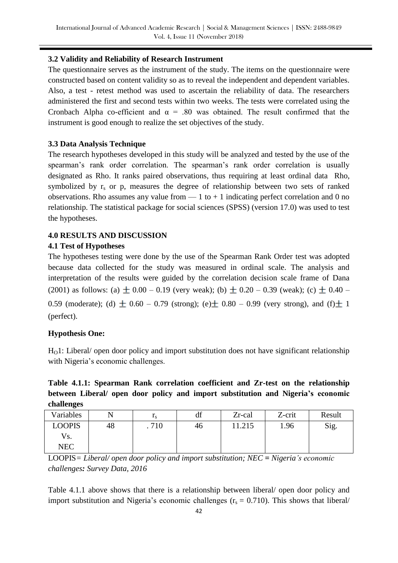# **3.2 Validity and Reliability of Research Instrument**

The questionnaire serves as the instrument of the study. The items on the questionnaire were constructed based on content validity so as to reveal the independent and dependent variables. Also, a test - retest method was used to ascertain the reliability of data. The researchers administered the first and second tests within two weeks. The tests were correlated using the Cronbach Alpha co-efficient and  $\alpha$  = .80 was obtained. The result confirmed that the instrument is good enough to realize the set objectives of the study.

# **3.3 Data Analysis Technique**

The research hypotheses developed in this study will be analyzed and tested by the use of the spearman's rank order correlation. The spearman's rank order correlation is usually designated as Rho. It ranks paired observations, thus requiring at least ordinal data Rho, symbolized by  $r_s$  or p, measures the degree of relationship between two sets of ranked observations. Rho assumes any value from  $-1$  to  $+1$  indicating perfect correlation and 0 no relationship. The statistical package for social sciences (SPSS) (version 17.0) was used to test the hypotheses.

# **4.0 RESULTS AND DISCUSSION**

# **4.1 Test of Hypotheses**

The hypotheses testing were done by the use of the Spearman Rank Order test was adopted because data collected for the study was measured in ordinal scale. The analysis and interpretation of the results were guided by the correlation decision scale frame of Dana (2001) as follows: (a)  $\pm$  0.00 – 0.19 (very weak); (b)  $\pm$  0.20 – 0.39 (weak); (c)  $\pm$  0.40 – 0.59 (moderate); (d)  $\pm$  0.60 – 0.79 (strong); (e)  $\pm$  0.80 – 0.99 (very strong), and (f)  $\pm$  1 (perfect).

# **Hypothesis One:**

 $H_0$ 1: Liberal/ open door policy and import substitution does not have significant relationship with Nigeria's economic challenges.

# **Table 4.1.1: Spearman Rank correlation coefficient and Zr-test on the relationship between Liberal/ open door policy and import substitution and Nigeria's economic challenges**

| Variables    |    | ΙS   | df | Zr-cal | Z-crit | Result |
|--------------|----|------|----|--------|--------|--------|
| LOOPIS       | 48 | .710 | 46 | 11.215 | 1.96   | Sig.   |
| Vs.          |    |      |    |        |        |        |
| $_{\rm NEC}$ |    |      |    |        |        |        |

LOOPIS*= Liberal/ open door policy and import substitution; NEC = Nigeria's economic challenges: Survey Data, 2016*

Table 4.1.1 above shows that there is a relationship between liberal/ open door policy and import substitution and Nigeria's economic challenges  $(r_s = 0.710)$ . This shows that liberal/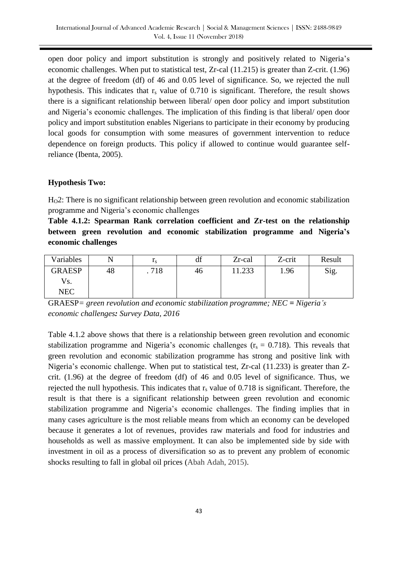open door policy and import substitution is strongly and positively related to Nigeria's economic challenges. When put to statistical test, Zr-cal (11.215) is greater than Z-crit. (1.96) at the degree of freedom (df) of 46 and 0.05 level of significance. So, we rejected the null hypothesis. This indicates that  $r_s$  value of 0.710 is significant. Therefore, the result shows there is a significant relationship between liberal/ open door policy and import substitution and Nigeria's economic challenges. The implication of this finding is that liberal/ open door policy and import substitution enables Nigerians to participate in their economy by producing local goods for consumption with some measures of government intervention to reduce dependence on foreign products. This policy if allowed to continue would guarantee selfreliance (Ibenta, 2005).

#### **Hypothesis Two:**

H<sub>O</sub>2: There is no significant relationship between green revolution and economic stabilization programme and Nigeria's economic challenges

**Table 4.1.2: Spearman Rank correlation coefficient and Zr-test on the relationship between green revolution and economic stabilization programme and Nigeria's economic challenges**

| Variables     |    | $\mathbf{r}_s$ | df | Zr-cal | Z-crit | Result |
|---------------|----|----------------|----|--------|--------|--------|
| <b>GRAESP</b> | 48 | .718           | 46 | 11.233 | 1.96   | Sig.   |
| Vs.           |    |                |    |        |        |        |
| <b>NEC</b>    |    |                |    |        |        |        |

GRAESP*= green revolution and economic stabilization programme; NEC = Nigeria's economic challenges: Survey Data, 2016*

Table 4.1.2 above shows that there is a relationship between green revolution and economic stabilization programme and Nigeria's economic challenges ( $r_s = 0.718$ ). This reveals that green revolution and economic stabilization programme has strong and positive link with Nigeria's economic challenge. When put to statistical test, Zr-cal (11.233) is greater than Zcrit. (1.96) at the degree of freedom (df) of 46 and 0.05 level of significance. Thus, we rejected the null hypothesis. This indicates that  $r<sub>s</sub>$  value of 0.718 is significant. Therefore, the result is that there is a significant relationship between green revolution and economic stabilization programme and Nigeria's economic challenges. The finding implies that in many cases agriculture is the most reliable means from which an economy can be developed because it generates a lot of revenues, provides raw materials and food for industries and households as well as massive employment. It can also be implemented side by side with investment in oil as a process of diversification so as to prevent any problem of economic shocks resulting to fall in global oil prices (Abah Adah, 2015).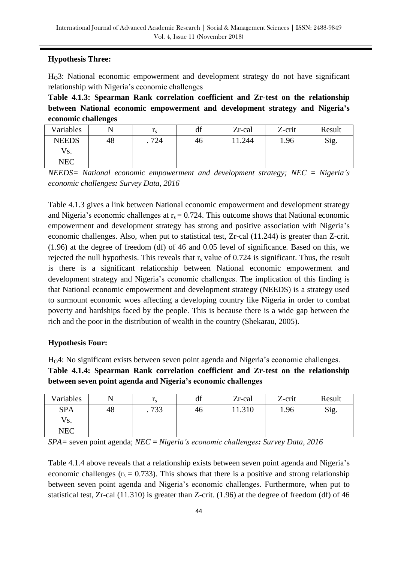# **Hypothesis Three:**

 $H<sub>0</sub>3$ : National economic empowerment and development strategy do not have significant relationship with Nigeria's economic challenges

**Table 4.1.3: Spearman Rank correlation coefficient and Zr-test on the relationship between National economic empowerment and development strategy and Nigeria's economic challenges**

| Variables    |    | $\mathbf{1}_{S}$ | df | Zr-cal | Z-crit | Result |
|--------------|----|------------------|----|--------|--------|--------|
| <b>NEEDS</b> | 48 | 724              | 46 | .244   | 1.96   | Sig.   |
| Vs.          |    |                  |    |        |        |        |
| NEC          |    |                  |    |        |        |        |

*NEEDS= National economic empowerment and development strategy; NEC = Nigeria's economic challenges: Survey Data, 2016*

Table 4.1.3 gives a link between National economic empowerment and development strategy and Nigeria's economic challenges at  $r_s = 0.724$ . This outcome shows that National economic empowerment and development strategy has strong and positive association with Nigeria's economic challenges. Also, when put to statistical test, Zr-cal (11.244) is greater than Z-crit. (1.96) at the degree of freedom (df) of 46 and 0.05 level of significance. Based on this, we rejected the null hypothesis. This reveals that  $r_s$  value of 0.724 is significant. Thus, the result is there is a significant relationship between National economic empowerment and development strategy and Nigeria's economic challenges. The implication of this finding is that National economic empowerment and development strategy (NEEDS) is a strategy used to surmount economic woes affecting a developing country like Nigeria in order to combat poverty and hardships faced by the people. This is because there is a wide gap between the rich and the poor in the distribution of wealth in the country (Shekarau, 2005).

# **Hypothesis Four:**

HO4: No significant exists between seven point agenda and Nigeria's economic challenges.

**Table 4.1.4: Spearman Rank correlation coefficient and Zr-test on the relationship between seven point agenda and Nigeria's economic challenges**

| Variables  |    | $\mathbf{1}_{S}$ | 10<br>aг | Zr-cal | Z-crit | Result |
|------------|----|------------------|----------|--------|--------|--------|
| <b>SPA</b> | 48 | .733             | 40       | 11.310 | 1.96   | Sig.   |
| Vs.        |    |                  |          |        |        |        |
| <b>NEC</b> |    |                  |          |        |        |        |

*SPA=* seven point agenda; *NEC = Nigeria's economic challenges: Survey Data, 2016*

Table 4.1.4 above reveals that a relationship exists between seven point agenda and Nigeria's economic challenges ( $r_s = 0.733$ ). This shows that there is a positive and strong relationship between seven point agenda and Nigeria's economic challenges. Furthermore, when put to statistical test, Zr-cal (11.310) is greater than Z-crit. (1.96) at the degree of freedom (df) of 46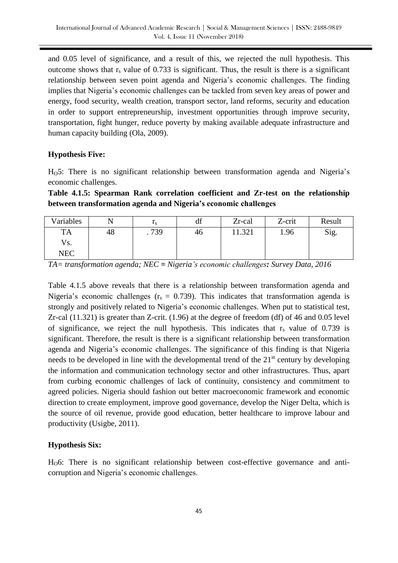and 0.05 level of significance, and a result of this, we rejected the null hypothesis. This outcome shows that  $r_s$  value of 0.733 is significant. Thus, the result is there is a significant relationship between seven point agenda and Nigeria's economic challenges. The finding implies that Nigeria's economic challenges can be tackled from seven key areas of power and energy, food security, wealth creation, transport sector, land reforms, security and education in order to support entrepreneurship, investment opportunities through improve security, transportation, fight hunger, reduce poverty by making available adequate infrastructure and human capacity building (Ola, 2009).

#### **Hypothesis Five:**

H<sub>O</sub>5: There is no significant relationship between transformation agenda and Nigeria's economic challenges.

**Table 4.1.5: Spearman Rank correlation coefficient and Zr-test on the relationship between transformation agenda and Nigeria's economic challenges**

| Variables  |    | $\mathbf{1}_{S}$ | df | Zr-cal | Z-crit | Result |
|------------|----|------------------|----|--------|--------|--------|
| <b>TA</b>  | 48 | .739             | 40 | 11.321 | 1.96   | Sig.   |
| Vs.        |    |                  |    |        |        |        |
| <b>NEC</b> |    |                  |    |        |        |        |

*TA= transformation agenda; NEC = Nigeria's economic challenges: Survey Data, 2016*

Table 4.1.5 above reveals that there is a relationship between transformation agenda and Nigeria's economic challenges ( $r_s = 0.739$ ). This indicates that transformation agenda is strongly and positively related to Nigeria's economic challenges. When put to statistical test, Zr-cal (11.321) is greater than Z-crit. (1.96) at the degree of freedom (df) of 46 and 0.05 level of significance, we reject the null hypothesis. This indicates that  $r_s$  value of 0.739 is significant. Therefore, the result is there is a significant relationship between transformation agenda and Nigeria's economic challenges. The significance of this finding is that Nigeria needs to be developed in line with the developmental trend of the  $21<sup>st</sup>$  century by developing the information and communication technology sector and other infrastructures. Thus, apart from curbing economic challenges of lack of continuity, consistency and commitment to agreed policies. Nigeria should fashion out better macroeconomic framework and economic direction to create employment, improve good governance, develop the Niger Delta, which is the source of oil revenue, provide good education, better healthcare to improve labour and productivity (Usigbe, 2011).

#### **Hypothesis Six:**

H<sub>O</sub>6: There is no significant relationship between cost-effective governance and anticorruption and Nigeria's economic challenges.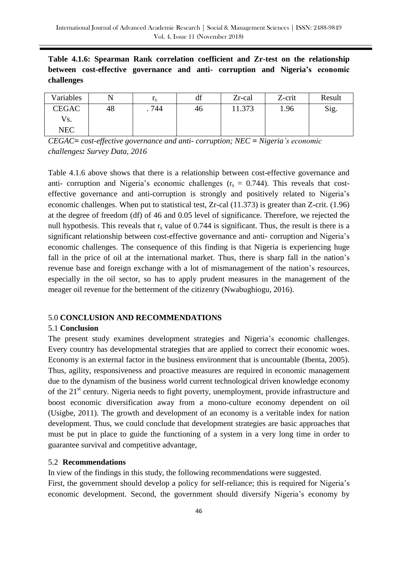**Table 4.1.6: Spearman Rank correlation coefficient and Zr-test on the relationship between cost-effective governance and anti- corruption and Nigeria's economic challenges**

| Variables    |    | $\mathbf{1}_{S}$ | df | Zr-cal | Z-crit | Result |
|--------------|----|------------------|----|--------|--------|--------|
| <b>CEGAC</b> | 48 | . 744            | 40 | 11.373 | 1.96   | Sig.   |
| Vs.          |    |                  |    |        |        |        |
| NEC          |    |                  |    |        |        |        |

*CEGAC= cost-effective governance and anti- corruption; NEC = Nigeria's economic challenges: Survey Data, 2016*

Table 4.1.6 above shows that there is a relationship between cost-effective governance and anti- corruption and Nigeria's economic challenges  $(r<sub>s</sub> = 0.744)$ . This reveals that costeffective governance and anti-corruption is strongly and positively related to Nigeria's economic challenges. When put to statistical test, Zr-cal (11.373) is greater than Z-crit. (1.96) at the degree of freedom (df) of 46 and 0.05 level of significance. Therefore, we rejected the null hypothesis. This reveals that  $r_s$  value of 0.744 is significant. Thus, the result is there is a significant relationship between cost-effective governance and anti- corruption and Nigeria's economic challenges. The consequence of this finding is that Nigeria is experiencing huge fall in the price of oil at the international market. Thus, there is sharp fall in the nation's revenue base and foreign exchange with a lot of mismanagement of the nation's resources, especially in the oil sector, so has to apply prudent measures in the management of the meager oil revenue for the betterment of the citizenry (Nwabughiogu, 2016).

#### 5.0 **CONCLUSION AND RECOMMENDATIONS**

#### 5.1 **Conclusion**

The present study examines development strategies and Nigeria's economic challenges. Every country has developmental strategies that are applied to correct their economic woes. Economy is an external factor in the business environment that is uncountable (Ibenta, 2005). Thus, agility, responsiveness and proactive measures are required in economic management due to the dynamism of the business world current technological driven knowledge economy of the 21<sup>st</sup> century. Nigeria needs to fight poverty, unemployment, provide infrastructure and boost economic diversification away from a mono-culture economy dependent on oil (Usigbe, 2011). The growth and development of an economy is a veritable index for nation development. Thus, we could conclude that development strategies are basic approaches that must be put in place to guide the functioning of a system in a very long time in order to guarantee survival and competitive advantage,

#### 5.2 **Recommendations**

In view of the findings in this study, the following recommendations were suggested. First, the government should develop a policy for self-reliance; this is required for Nigeria's economic development. Second, the government should diversify Nigeria's economy by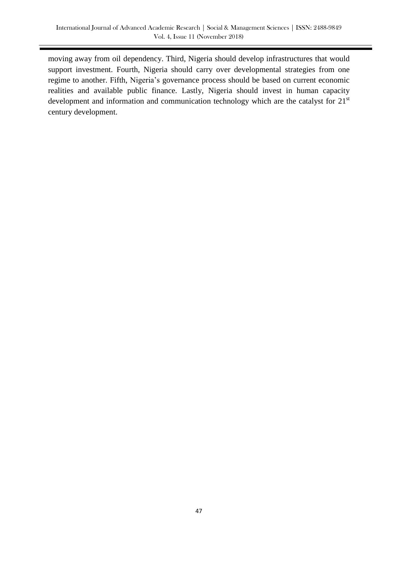moving away from oil dependency. Third, Nigeria should develop infrastructures that would support investment. Fourth, Nigeria should carry over developmental strategies from one regime to another. Fifth, Nigeria's governance process should be based on current economic realities and available public finance. Lastly, Nigeria should invest in human capacity development and information and communication technology which are the catalyst for  $21<sup>st</sup>$ century development.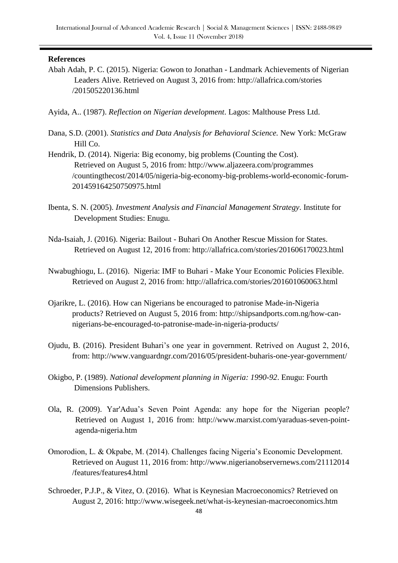#### **References**

Abah Adah, P. C. (2015). Nigeria: Gowon to Jonathan - Landmark Achievements of Nigerian Leaders Alive. Retrieved on August 3, 2016 from: http://allafrica.com/stories /201505220136.html

Ayida, A.. (1987). *Reflection on Nigerian development*. Lagos: Malthouse Press Ltd.

- Dana, S.D. (2001). *Statistics and Data Analysis for Behavioral Science.* New York: McGraw Hill Co.
- Hendrik, D. (2014). Nigeria: Big economy, big problems (Counting the Cost). Retrieved on August 5, 2016 from: http://www.aljazeera.com/programmes /countingthecost/2014/05/nigeria-big-economy-big-problems-world**-**economic-forum-201459164250750975.html
- Ibenta, S. N. (2005). *Investment Analysis and Financial Management Strategy*. Institute for Development Studies: Enugu.
- Nda-Isaiah, J. (2016). Nigeria: Bailout Buhari On Another Rescue Mission for States. Retrieved on August 12, 2016 from: http://allafrica.com/stories/201606170023.html
- Nwabughiogu, L. (2016). Nigeria: IMF to Buhari Make Your Economic Policies Flexible. Retrieved on August 2, 2016 from: http://allafrica.com/stories/201601060063.html
- Ojarikre, L. (2016). How can Nigerians be encouraged to patronise Made-in-Nigeria products? Retrieved on August 5, 2016 from: http://shipsandports.com.ng/how-cannigerians-be-encouraged-to-patronise-made-in-nigeria-products/
- Ojudu, B. (2016). President Buhari's one year in government. Retrived on August 2, 2016, from: http://www.vanguardngr.com/2016/05/president-buharis-one-year-government/
- Okigbo, P. (1989). *National development planning in Nigeria: 1990-92*. Enugu: Fourth Dimensions Publishers.
- Ola, R. (2009). [Yar'Adua's Seven Point Agenda: any hope for the Nigerian people?](http://www.marxist.com/yaraduas-seven-point-agenda-nigeria.htm)  Retrieved on August 1, 2016 from: http://www.marxist.com/yaraduas-seven-pointagenda-nigeria.htm
- Omorodion, L. & Okpabe, M. (2014). Challenges facing Nigeria's Economic Development. Retrieved on August 11, 2016 from: http://www.nigerianobservernews.com/21112014 /features/features4.html
- Schroeder, P.J.P., & Vitez, O. (2016). What is Keynesian Macroeconomics? Retrieved on August 2, 2016: http://www.wisegeek.net/what-is-keynesian-macroeconomics.htm